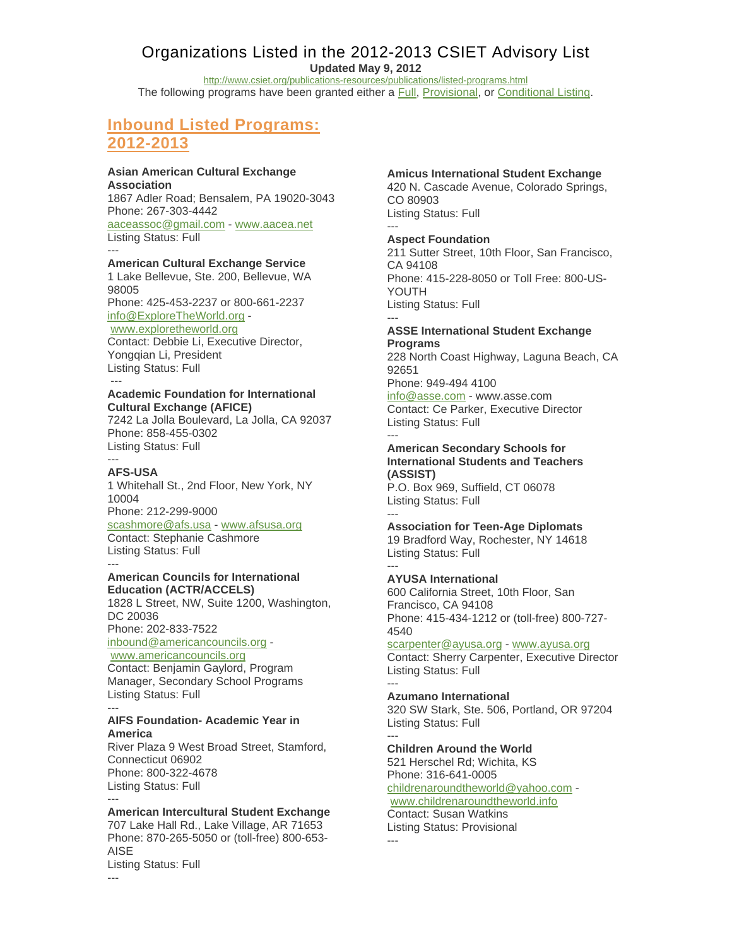# Organizations Listed in the 2012-2013 CSIET Advisory List

**Updated May 9, 2012** 

http://www.csiet.org/publications-resources/publications/listed-programs.html

The following programs have been granted either a Full, Provisional, or Conditional Listing.

# **Inbound Listed Programs: 2012-2013**

### **Asian American Cultural Exchange Association**

1867 Adler Road; Bensalem, PA 19020-3043 Phone: 267-303-4442

aaceassoc@gmail.com - www.aacea.net Listing Status: Full

#### --- **American Cultural Exchange Service**

1 Lake Bellevue, Ste. 200, Bellevue, WA 98005

Phone: 425-453-2237 or 800-661-2237 info@ExploreTheWorld.org -

## www.exploretheworld.org

Contact: Debbie Li, Executive Director, Yongqian Li, President Listing Status: Full ---

### **Academic Foundation for International Cultural Exchange (AFICE)**

7242 La Jolla Boulevard, La Jolla, CA 92037 Phone: 858-455-0302 Listing Status: Full

## **AFS-USA**

---

---

1 Whitehall St., 2nd Floor, New York, NY 10004 Phone: 212-299-9000 scashmore@afs.usa - www.afsusa.org Contact: Stephanie Cashmore Listing Status: Full ---

### **American Councils for International Education (ACTR/ACCELS)**

1828 L Street, NW, Suite 1200, Washington, DC 20036 Phone: 202-833-7522 inbound@americancouncils.org -

www.americancouncils.org Contact: Benjamin Gaylord, Program Manager, Secondary School Programs Listing Status: Full

### --- **AIFS Foundation- Academic Year in America**

River Plaza 9 West Broad Street, Stamford, Connecticut 06902 Phone: 800-322-4678 Listing Status: Full ---

## **American Intercultural Student Exchange**

707 Lake Hall Rd., Lake Village, AR 71653 Phone: 870-265-5050 or (toll-free) 800-653- AISE Listing Status: Full

### **Amicus International Student Exchange**

420 N. Cascade Avenue, Colorado Springs, CO 80903 Listing Status: Full

#### --- **Aspect Foundation**

211 Sutter Street, 10th Floor, San Francisco, CA 94108 Phone: 415-228-8050 or Toll Free: 800-US-YOUTH Listing Status: Full ---

### **ASSE International Student Exchange Programs**

228 North Coast Highway, Laguna Beach, CA 92651 Phone: 949-494 4100

info@asse.com - www.asse.com Contact: Ce Parker, Executive Director Listing Status: Full

### --- **American Secondary Schools for International Students and Teachers (ASSIST)**

P.O. Box 969, Suffield, CT 06078 Listing Status: Full ---

**Association for Teen-Age Diplomats** 19 Bradford Way, Rochester, NY 14618 Listing Status: Full

#### --- **AYUSA International**

600 California Street, 10th Floor, San Francisco, CA 94108 Phone: 415-434-1212 or (toll-free) 800-727- 4540

## scarpenter@ayusa.org - www.ayusa.org

Contact: Sherry Carpenter, Executive Director Listing Status: Full ---

## **Azumano International**

320 SW Stark, Ste. 506, Portland, OR 97204 Listing Status: Full ---

### **Children Around the World**

521 Herschel Rd; Wichita, KS Phone: 316-641-0005 childrenaroundtheworld@yahoo.com www.childrenaroundtheworld.info

Contact: Susan Watkins Listing Status: Provisional ---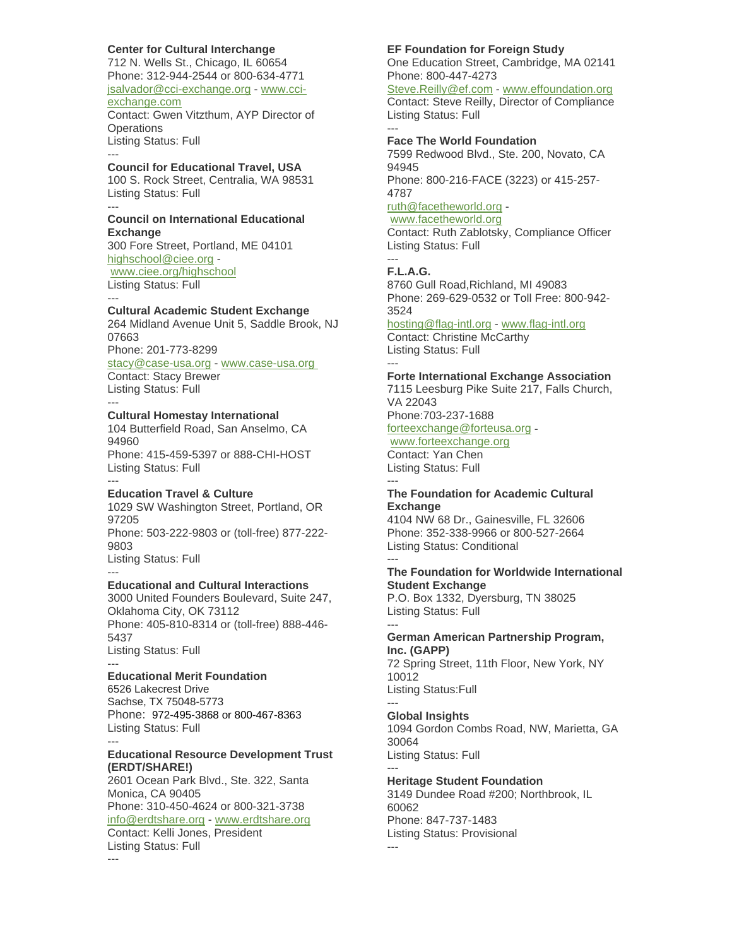## **Center for Cultural Interchange**

712 N. Wells St., Chicago, IL 60654 Phone: 312-944-2544 or 800-634-4771 jsalvador@cci-exchange.org - www.cciexchange.com Contact: Gwen Vitzthum, AYP Director of

**Operations** Listing Status: Full

### **Council for Educational Travel, USA**

100 S. Rock Street, Centralia, WA 98531 Listing Status: Full

#### **Council on International Educational Exchange**

300 Fore Street, Portland, ME 04101 highschool@ciee.org www.ciee.org/highschool Listing Status: Full

---

---

---

## **Cultural Academic Student Exchange**

264 Midland Avenue Unit 5, Saddle Brook, NJ 07663

Phone: 201-773-8299

stacy@case-usa.org - www.case-usa.org Contact: Stacy Brewer

Listing Status: Full ---

## **Cultural Homestay International**

104 Butterfield Road, San Anselmo, CA 94960 Phone: 415-459-5397 or 888-CHI-HOST Listing Status: Full

#### --- **Education Travel & Culture**

1029 SW Washington Street, Portland, OR 97205 Phone: 503-222-9803 or (toll-free) 877-222- 9803 Listing Status: Full

#### --- **Educational and Cultural Interactions**

3000 United Founders Boulevard, Suite 247, Oklahoma City, OK 73112 Phone: 405-810-8314 or (toll-free) 888-446- 5437 Listing Status: Full ---

### **Educational Merit Foundation**

---

---

6526 Lakecrest Drive Sachse, TX 75048-5773 Phone: 972-495-3868 or 800-467-8363 Listing Status: Full

### **Educational Resource Development Trust (ERDT/SHARE!)**

2601 Ocean Park Blvd., Ste. 322, Santa Monica, CA 90405 Phone: 310-450-4624 or 800-321-3738 info@erdtshare.org - www.erdtshare.org Contact: Kelli Jones, President Listing Status: Full

### **EF Foundation for Foreign Study**

One Education Street, Cambridge, MA 02141 Phone: 800-447-4273

Steve.Reilly@ef.com - www.effoundation.org Contact: Steve Reilly, Director of Compliance Listing Status: Full ---

### **Face The World Foundation**

7599 Redwood Blvd., Ste. 200, Novato, CA 94945

Phone: 800-216-FACE (3223) or 415-257- 4787

## ruth@facetheworld.org -

www.facetheworld.org Contact: Ruth Zablotsky, Compliance Officer Listing Status: Full

## **F.L.A.G.**

---

8760 Gull Road,Richland, MI 49083 Phone: 269-629-0532 or Toll Free: 800-942- 3524

## hosting@flag-intl.org - www.flag-intl.org Contact: Christine McCarthy

Listing Status: Full ---

## **Forte International Exchange Association**

7115 Leesburg Pike Suite 217, Falls Church, VA 22043

Phone:703-237-1688 forteexchange@forteusa.org -

## www.forteexchange.org

Contact: Yan Chen Listing Status: Full

### --- **The Foundation for Academic Cultural Exchange**

4104 NW 68 Dr., Gainesville, FL 32606 Phone: 352-338-9966 or 800-527-2664 Listing Status: Conditional

#### --- **The Foundation for Worldwide International Student Exchange**

P.O. Box 1332, Dyersburg, TN 38025 Listing Status: Full

### --- **German American Partnership Program, Inc. (GAPP)**

72 Spring Street, 11th Floor, New York, NY 10012 Listing Status:Full ---

## **Global Insights**

1094 Gordon Combs Road, NW, Marietta, GA 30064 Listing Status: Full

#### --- **Heritage Student Foundation**

3149 Dundee Road #200; Northbrook, IL 60062 Phone: 847-737-1483 Listing Status: Provisional ---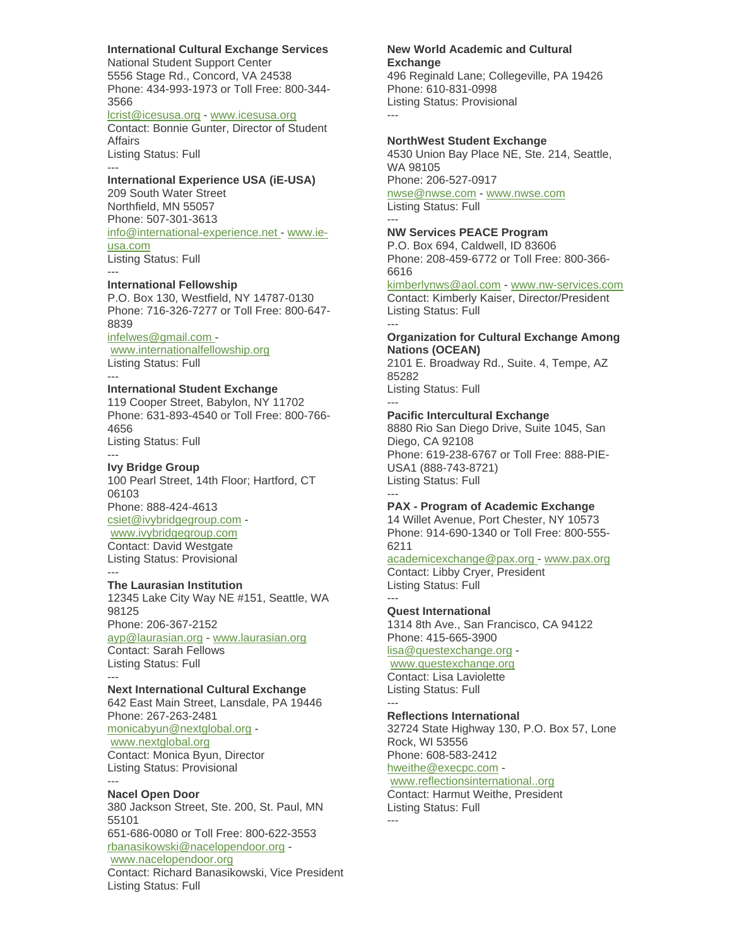### **International Cultural Exchange Services**

National Student Support Center 5556 Stage Rd., Concord, VA 24538 Phone: 434-993-1973 or Toll Free: 800-344- 3566

lcrist@icesusa.org - www.icesusa.org

Contact: Bonnie Gunter, Director of Student Affairs

Listing Status: Full ---

### **International Experience USA (iE-USA)**

209 South Water Street Northfield, MN 55057 Phone: 507-301-3613 info@international-experience.net - www.ieusa.com Listing Status: Full

#### **International Fellowship**

P.O. Box 130, Westfield, NY 14787-0130 Phone: 716-326-7277 or Toll Free: 800-647- 8839 infelwes@gmail.com -

www.internationalfellowship.org Listing Status: Full

---

---

---

---

## **International Student Exchange**

119 Cooper Street, Babylon, NY 11702 Phone: 631-893-4540 or Toll Free: 800-766- 4656 Listing Status: Full

### **Ivy Bridge Group**

100 Pearl Street, 14th Floor; Hartford, CT 06103 Phone: 888-424-4613 csiet@ivybridgegroup.com www.ivybridgegroup.com Contact: David Westgate Listing Status: Provisional

#### **The Laurasian Institution**

12345 Lake City Way NE #151, Seattle, WA 98125 Phone: 206-367-2152 ayp@laurasian.org - www.laurasian.org Contact: Sarah Fellows

Listing Status: Full ---

### **Next International Cultural Exchange**

642 East Main Street, Lansdale, PA 19446 Phone: 267-263-2481 monicabyun@nextglobal.org www.nextglobal.org Contact: Monica Byun, Director Listing Status: Provisional

## --- **Nacel Open Door**

380 Jackson Street, Ste. 200, St. Paul, MN 55101 651-686-0080 or Toll Free: 800-622-3553 rbanasikowski@nacelopendoor.org www.nacelopendoor.org Contact: Richard Banasikowski, Vice President Listing Status: Full

### **New World Academic and Cultural Exchange**

496 Reginald Lane; Collegeville, PA 19426 Phone: 610-831-0998 Listing Status: Provisional ---

#### **NorthWest Student Exchange**

4530 Union Bay Place NE, Ste. 214, Seattle, WA 98105 Phone: 206-527-0917 nwse@nwse.com - www.nwse.com Listing Status: Full

#### --- **NW Services PEACE Program**

---

P.O. Box 694, Caldwell, ID 83606 Phone: 208-459-6772 or Toll Free: 800-366- 6616

kimberlynws@aol.com - www.nw-services.com Contact: Kimberly Kaiser, Director/President Listing Status: Full

### **Organization for Cultural Exchange Among Nations (OCEAN)**

2101 E. Broadway Rd., Suite. 4, Tempe, AZ 85282 Listing Status: Full

#### --- **Pacific Intercultural Exchange**

8880 Rio San Diego Drive, Suite 1045, San Diego, CA 92108 Phone: 619-238-6767 or Toll Free: 888-PIE-USA1 (888-743-8721) Listing Status: Full ---

### **PAX - Program of Academic Exchange**

14 Willet Avenue, Port Chester, NY 10573 Phone: 914-690-1340 or Toll Free: 800-555- 6211

## academicexchange@pax.org - www.pax.org Contact: Libby Cryer, President

Listing Status: Full ---

## **Quest International**

1314 8th Ave., San Francisco, CA 94122 Phone: 415-665-3900

## lisa@questexchange.org -

www.questexchange.org Contact: Lisa Laviolette Listing Status: Full

#### **Reflections International**

32724 State Highway 130, P.O. Box 57, Lone Rock, WI 53556 Phone: 608-583-2412

hweithe@execpc.com -

### www.reflectionsinternational..org Contact: Harmut Weithe, President Listing Status: Full

---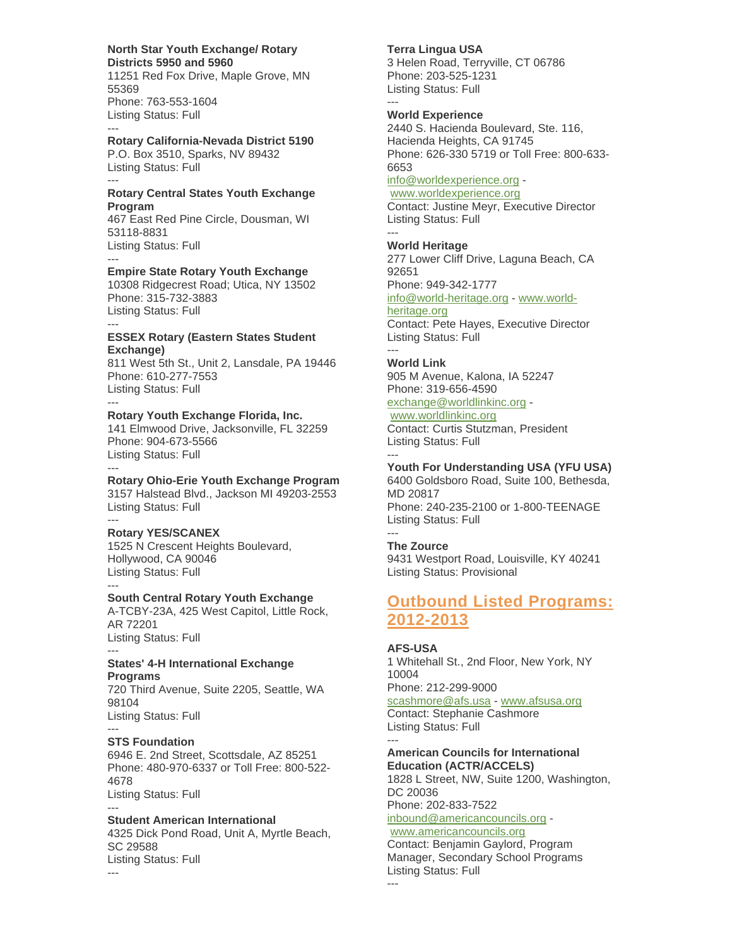### **North Star Youth Exchange/ Rotary Districts 5950 and 5960**

11251 Red Fox Drive, Maple Grove, MN 55369 Phone: 763-553-1604 Listing Status: Full

## **Rotary California-Nevada District 5190**

P.O. Box 3510, Sparks, NV 89432 Listing Status: Full ---

---

---

---

 $-$ 

### **Rotary Central States Youth Exchange Program**

467 East Red Pine Circle, Dousman, WI 53118-8831 Listing Status: Full ---

## **Empire State Rotary Youth Exchange**

10308 Ridgecrest Road; Utica, NY 13502 Phone: 315-732-3883 Listing Status: Full

### **ESSEX Rotary (Eastern States Student Exchange)**

811 West 5th St., Unit 2, Lansdale, PA 19446 Phone: 610-277-7553 Listing Status: Full ---

**Rotary Youth Exchange Florida, Inc.**

141 Elmwood Drive, Jacksonville, FL 32259 Phone: 904-673-5566 Listing Status: Full

#### --- **Rotary Ohio-Erie Youth Exchange Program**

3157 Halstead Blvd., Jackson MI 49203-2553 Listing Status: Full

#### --- **Rotary YES/SCANEX**

1525 N Crescent Heights Boulevard, Hollywood, CA 90046 Listing Status: Full

## **South Central Rotary Youth Exchange**

A-TCBY-23A, 425 West Capitol, Little Rock, AR 72201 Listing Status: Full

### --- **States' 4-H International Exchange Programs**

720 Third Avenue, Suite 2205, Seattle, WA 98104 Listing Status: Full

## **STS Foundation**

6946 E. 2nd Street, Scottsdale, AZ 85251 Phone: 480-970-6337 or Toll Free: 800-522- 4678 Listing Status: Full

#### --- **Student American International**

4325 Dick Pond Road, Unit A, Myrtle Beach, SC 29588 Listing Status: Full ---

## **Terra Lingua USA**

3 Helen Road, Terryville, CT 06786 Phone: 203-525-1231 Listing Status: Full ---

## **World Experience**

2440 S. Hacienda Boulevard, Ste. 116, Hacienda Heights, CA 91745 Phone: 626-330 5719 or Toll Free: 800-633- 6653 info@worldexperience.org -

www.worldexperience.org

Contact: Justine Meyr, Executive Director Listing Status: Full ---

## **World Heritage**

277 Lower Cliff Drive, Laguna Beach, CA 92651 Phone: 949-342-1777 info@world-heritage.org - www.worldheritage.org Contact: Pete Hayes, Executive Director Listing Status: Full ---

## **World Link**

905 M Avenue, Kalona, IA 52247 Phone: 319-656-4590 exchange@worldlinkinc.org -

## www.worldlinkinc.org

Contact: Curtis Stutzman, President Listing Status: Full ---

## **Youth For Understanding USA (YFU USA)**

6400 Goldsboro Road, Suite 100, Bethesda, MD 20817 Phone: 240-235-2100 or 1-800-TEENAGE Listing Status: Full

## **The Zource**

---

9431 Westport Road, Louisville, KY 40241 Listing Status: Provisional

# **Outbound Listed Programs: 2012-2013**

## **AFS-USA**

---

1 Whitehall St., 2nd Floor, New York, NY 10004 Phone: 212-299-9000

scashmore@afs.usa - www.afsusa.org Contact: Stephanie Cashmore Listing Status: Full

---

#### **American Councils for International Education (ACTR/ACCELS)**

1828 L Street, NW, Suite 1200, Washington, DC 20036 Phone: 202-833-7522

inbound@americancouncils.org www.americancouncils.org

## Contact: Benjamin Gaylord, Program Manager, Secondary School Programs Listing Status: Full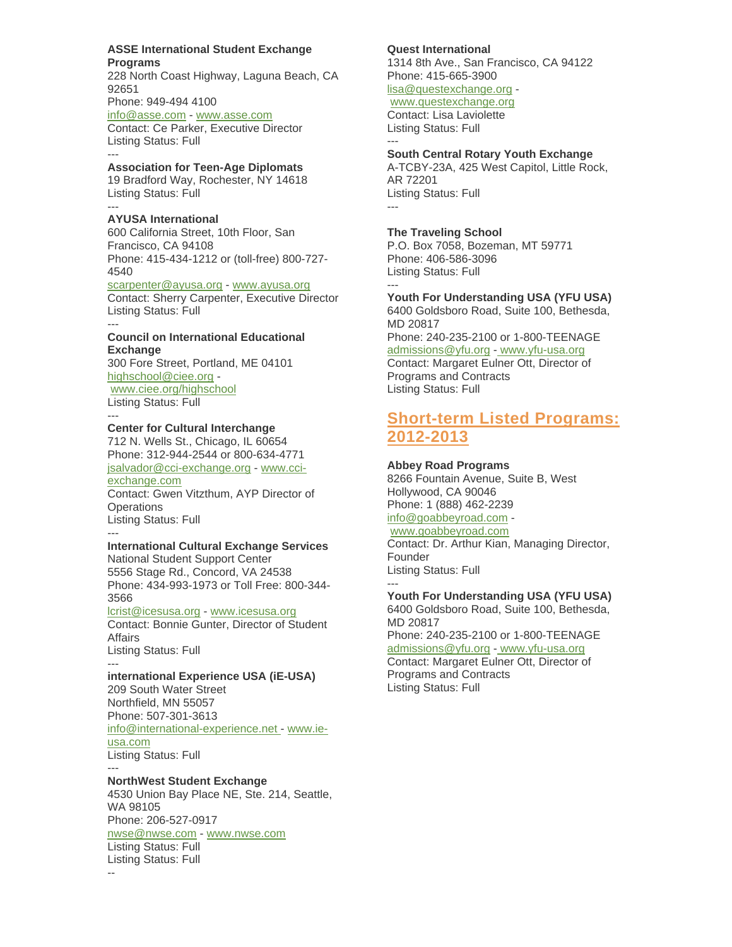**ASSE International Student Exchange Programs**

228 North Coast Highway, Laguna Beach, CA 92651 Phone: 949-494 4100 info@asse.com - www.asse.com

Contact: Ce Parker, Executive Director Listing Status: Full ---

**Association for Teen-Age Diplomats** 19 Bradford Way, Rochester, NY 14618 Listing Status: Full ---

### **AYUSA International** 600 California Street, 10th Floor, San Francisco, CA 94108 Phone: 415-434-1212 or (toll-free) 800-727- 4540

scarpenter@ayusa.org - www.ayusa.org Contact: Sherry Carpenter, Executive Director Listing Status: Full

### **Council on International Educational Exchange**

---

300 Fore Street, Portland, ME 04101 highschool@ciee.org www.ciee.org/highschool Listing Status: Full

#### --- **Center for Cultural Interchange**

712 N. Wells St., Chicago, IL 60654 Phone: 312-944-2544 or 800-634-4771 jsalvador@cci-exchange.org - www.cciexchange.com Contact: Gwen Vitzthum, AYP Director of **Operations** Listing Status: Full ---

### **International Cultural Exchange Services**

National Student Support Center 5556 Stage Rd., Concord, VA 24538 Phone: 434-993-1973 or Toll Free: 800-344- 3566

lcrist@icesusa.org - www.icesusa.org Contact: Bonnie Gunter, Director of Student Affairs Listing Status: Full

### -- **international Experience USA (iE-USA)**

209 South Water Street Northfield, MN 55057 Phone: 507-301-3613 info@international-experience.net - www.ieusa.com Listing Status: Full ---

### **NorthWest Student Exchange**

4530 Union Bay Place NE, Ste. 214, Seattle, WA 98105 Phone: 206-527-0917 nwse@nwse.com - www.nwse.com Listing Status: Full Listing Status: Full --

## **Quest International**

1314 8th Ave., San Francisco, CA 94122 Phone: 415-665-3900 lisa@questexchange.org -

### www.questexchange.org

Contact: Lisa Laviolette Listing Status: Full ---

## **South Central Rotary Youth Exchange**

A-TCBY-23A, 425 West Capitol, Little Rock, AR 72201 Listing Status: Full

## **The Traveling School**

---

---

P.O. Box 7058, Bozeman, MT 59771 Phone: 406-586-3096 Listing Status: Full

**Youth For Understanding USA (YFU USA)** 6400 Goldsboro Road, Suite 100, Bethesda,

MD 20817 Phone: 240-235-2100 or 1-800-TEENAGE admissions@yfu.org - www.yfu-usa.org Contact: Margaret Eulner Ott, Director of Programs and Contracts Listing Status: Full

# **Short-term Listed Programs: 2012-2013**

### **Abbey Road Programs**

8266 Fountain Avenue, Suite B, West Hollywood, CA 90046 Phone: 1 (888) 462-2239 info@goabbeyroad.com www.goabbeyroad.com

Contact: Dr. Arthur Kian, Managing Director, Founder Listing Status: Full ---

### **Youth For Understanding USA (YFU USA)**

6400 Goldsboro Road, Suite 100, Bethesda, MD 20817

Phone: 240-235-2100 or 1-800-TEENAGE

#### admissions@yfu.org - www.yfu-usa.org

Contact: Margaret Eulner Ott, Director of Programs and Contracts Listing Status: Full